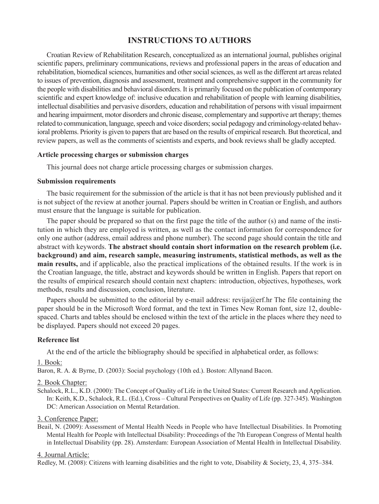# **INSTRUCTIONS TO AUTHORS**

Croatian Review of Rehabilitation Research, conceptualized as an international journal, publishes original scientific papers, preliminary communications, reviews and professional papers in the areas of education and rehabilitation, biomedical sciences, humanities and other social sciences, as well as the different art areas related to issues of prevention, diagnosis and assessment, treatment and comprehensive support in the community for the people with disabilities and behavioral disorders. It is primarily focused on the publication of contemporary scientific and expert knowledge of: inclusive education and rehabilitation of people with learning disabilities, intellectual disabilities and pervasive disorders, education and rehabilitation of persons with visual impairment and hearing impairment, motor disorders and chronic disease, complementary and supportive art therapy; themes related to communication, language, speech and voice disorders; social pedagogy and criminology-related behavioral problems. Priority is given to papers that are based on the results of empirical research. But theoretical, and review papers, as well as the comments of scientists and experts, and book reviews shall be gladly accepted.

# **Article processing charges or submission charges**

This journal does not charge article processing charges or submission charges.

## **Submission requirements**

The basic requirement for the submission of the article is that it has not been previously published and it is not subject of the review at another journal. Papers should be written in Croatian or English, and authors must ensure that the language is suitable for publication.

The paper should be prepared so that on the first page the title of the author (s) and name of the institution in which they are employed is written, as well as the contact information for correspondence for only one author (address, email address and phone number). The second page should contain the title and abstract with keywords. **The abstract should contain short information on the research problem (i.e. background) and aim, research sample, measuring instruments, statistical methods, as well as the main results,** and if applicable, also the practical implications of the obtained results. If the work is in the Croatian language, the title, abstract and keywords should be written in English. Papers that report on the results of empirical research should contain next chapters: introduction, objectives, hypotheses, work methods, results and discussion, conclusion, literature.

Papers should be submitted to the editorial by e-mail address: revija $@$ erf.hr The file containing the paper should be in the Microsoft Word format, and the text in Times New Roman font, size 12, doublespaced. Charts and tables should be enclosed within the text of the article in the places where they need to be displayed. Papers should not exceed 20 pages.

# **Reference list**

At the end of the article the bibliography should be specified in alphabetical order, as follows:

#### 1. Book:

Baron, R. A. & Byrne, D. (2003): Social psychology (10th ed.). Boston: Allynand Bacon.

#### 2. Book Chapter:

Schalock, R.L., K.D. (2000): The Concept of Quality of Life in the United States: Current Research and Application. In: Keith, K.D., Schalock, R.L. (Ed.), Cross – Cultural Perspectives on Quality of Life (pp. 327-345). Washington DC: American Association on Mental Retardation.

3. Conference Paper:

Beail, N. (2009): Assessment of Mental Health Needs in People who have Intellectual Disabilities. In Promoting Mental Health for People with Intellectual Disability: Proceedings of the 7th European Congress of Mental health in Intellectual Disability (pp. 28). Amsterdam: European Association of Mental Health in Intellectual Disability.

#### 4. Journal Article:

Redley, M. (2008): Citizens with learning disabilities and the right to vote, Disability & Society, 23, 4, 375–384.